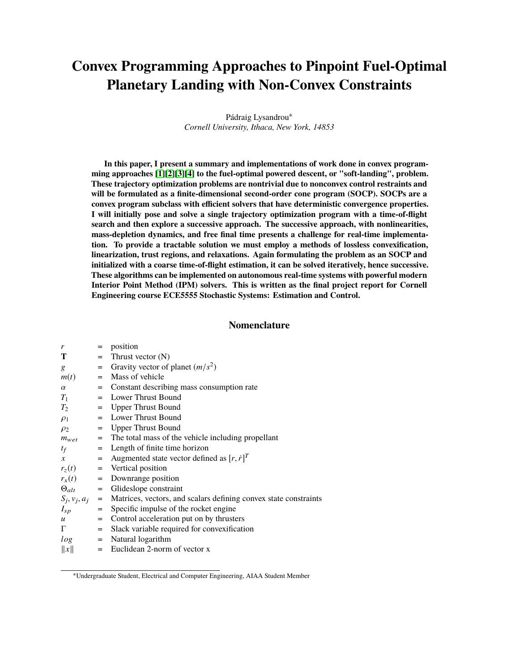# **Convex Programming Approaches to Pinpoint Fuel-Optimal Planetary Landing with Non-Convex Constraints**

Pádraig Lysandrou<sup>∗</sup> *Cornell University, Ithaca, New York, 14853*

**In this paper, I present a summary and implementations of work done in convex programming approaches [\[1\]](#page-13-0)[\[2\]](#page-13-1)[\[3\]](#page-13-2)[\[4\]](#page-13-3) to the fuel-optimal powered descent, or "soft-landing", problem. These trajectory optimization problems are nontrivial due to nonconvex control restraints and will be formulated as a finite-dimensional second-order cone program (SOCP). SOCPs are a convex program subclass with efficient solvers that have deterministic convergence properties. I will initially pose and solve a single trajectory optimization program with a time-of-flight search and then explore a successive approach. The successive approach, with nonlinearities, mass-depletion dynamics, and free final time presents a challenge for real-time implementation. To provide a tractable solution we must employ a methods of lossless convexification, linearization, trust regions, and relaxations. Again formulating the problem as an SOCP and initialized with a coarse time-of-flight estimation, it can be solved iteratively, hence successive. These algorithms can be implemented on autonomous real-time systems with powerful modern Interior Point Method (IPM) solvers. This is written as the final project report for Cornell Engineering course ECE5555 Stochastic Systems: Estimation and Control.**

#### **Nomenclature**

| r                | $=$ | position                                                                                 |
|------------------|-----|------------------------------------------------------------------------------------------|
| T                |     | $=$ Thrust vector $(N)$                                                                  |
| g                | $=$ | Gravity vector of planet $(m/s^2)$                                                       |
| m(t)             | $=$ | Mass of vehicle                                                                          |
| $\alpha$         |     | = Constant describing mass consumption rate                                              |
| $T_1$            |     | $=$ Lower Thrust Bound                                                                   |
| $T_2$            |     | = Upper Thrust Bound                                                                     |
| $\rho_1$         |     | = Lower Thrust Bound                                                                     |
| $\rho_2$         |     | = Upper Thrust Bound                                                                     |
|                  |     | $m_{wet}$ = The total mass of the vehicle including propellant                           |
| $t_f$            |     | = Length of finite time horizon                                                          |
| $\mathcal{X}$    |     | = Augmented state vector defined as $[r, \dot{r}]^T$                                     |
|                  |     | $r_z(t)$ = Vertical position                                                             |
|                  |     | $r_x(t)$ = Downrange position                                                            |
|                  |     | $\Theta_{alt}$ = Glideslope constraint                                                   |
|                  |     | $S_i$ , $v_i$ , $a_i$ = Matrices, vectors, and scalars defining convex state constraints |
| $I_{sp}$         | $=$ | Specific impulse of the rocket engine                                                    |
| $\boldsymbol{u}$ | $=$ | Control acceleration put on by thrusters                                                 |
| $\Gamma$         | $=$ | Slack variable required for convexification                                              |
| log              |     | $=$ Natural logarithm                                                                    |
| $\ x\ $          |     | $=$ Euclidean 2-norm of vector x                                                         |

<sup>∗</sup>Undergraduate Student, Electrical and Computer Engineering, AIAA Student Member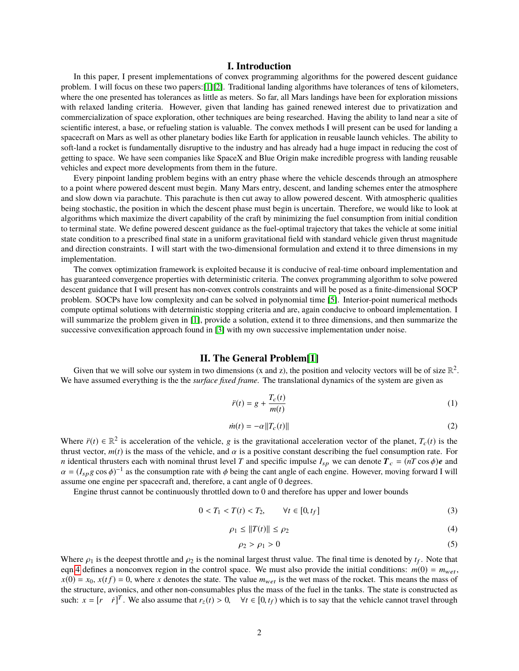# **I. Introduction**

In this paper, I present implementations of convex programming algorithms for the powered descent guidance problem. I will focus on these two papers:[\[1\]](#page-13-0)[\[2\]](#page-13-1). Traditional landing algorithms have tolerances of tens of kilometers, where the one presented has tolerances as little as meters. So far, all Mars landings have been for exploration missions with relaxed landing criteria. However, given that landing has gained renewed interest due to privatization and commercialization of space exploration, other techniques are being researched. Having the ability to land near a site of scientific interest, a base, or refueling station is valuable. The convex methods I will present can be used for landing a spacecraft on Mars as well as other planetary bodies like Earth for application in reusable launch vehicles. The ability to soft-land a rocket is fundamentally disruptive to the industry and has already had a huge impact in reducing the cost of getting to space. We have seen companies like SpaceX and Blue Origin make incredible progress with landing reusable vehicles and expect more developments from them in the future.

Every pinpoint landing problem begins with an entry phase where the vehicle descends through an atmosphere to a point where powered descent must begin. Many Mars entry, descent, and landing schemes enter the atmosphere and slow down via parachute. This parachute is then cut away to allow powered descent. With atmospheric qualities being stochastic, the position in which the descent phase must begin is uncertain. Therefore, we would like to look at algorithms which maximize the divert capability of the craft by minimizing the fuel consumption from initial condition to terminal state. We define powered descent guidance as the fuel-optimal trajectory that takes the vehicle at some initial state condition to a prescribed final state in a uniform gravitational field with standard vehicle given thrust magnitude and direction constraints. I will start with the two-dimensional formulation and extend it to three dimensions in my implementation.

The convex optimization framework is exploited because it is conducive of real-time onboard implementation and has guaranteed convergence properties with deterministic criteria. The convex programming algorithm to solve powered descent guidance that I will present has non-convex controls constraints and will be posed as a finite-dimensional SOCP problem. SOCPs have low complexity and can be solved in polynomial time [\[5\]](#page-13-4). Interior-point numerical methods compute optimal solutions with deterministic stopping criteria and are, again conducive to onboard implementation. I will summarize the problem given in [\[1\]](#page-13-0), provide a solution, extend it to three dimensions, and then summarize the successive convexification approach found in [\[3\]](#page-13-2) with my own successive implementation under noise.

# **II. The General Problem[\[1\]](#page-13-0)**

Given that we will solve our system in two dimensions (x and z), the position and velocity vectors will be of size  $\mathbb{R}^2$ . We have assumed everything is the the *surface fixed frame.* The translational dynamics of the system are given as

$$
\ddot{r}(t) = g + \frac{T_c(t)}{m(t)}\tag{1}
$$

$$
\dot{m}(t) = -\alpha \|T_c(t)\| \tag{2}
$$

Where  $\ddot{r}(t) \in \mathbb{R}^2$  is acceleration of the vehicle, g is the gravitational acceleration vector of the planet,  $T_c(t)$  is the thrust vector,  $m(t)$  is the mass of the vehicle, and  $\alpha$  is a positive constant describing the fuel consumption rate. For *n* identical thrusters each with nominal thrust level *T* and specific impulse  $I_{sp}$  we can denote  $T_c = (nT \cos \phi)e$  and  $\alpha = (I_{sp}g \cos \phi)^{-1}$  as the consumption rate with  $\phi$  being the cant angle of each engine. However, moving forward I will assume one engine per spacecraft and therefore, a cant angle of 0 degrees assume one engine per spacecraft and, therefore, a cant angle of 0 degrees.

Engine thrust cannot be continuously throttled down to 0 and therefore has upper and lower bounds

$$
0 < T_1 < T(t) < T_2, \qquad \forall t \in [0, t_f] \tag{3}
$$

<span id="page-1-0"></span>
$$
\rho_1 \le ||T(t)|| \le \rho_2 \tag{4}
$$

$$
\rho_2 > \rho_1 > 0 \tag{5}
$$

Where  $\rho_1$  is the deepest throttle and  $\rho_2$  is the nominal largest thrust value. The final time is denoted by  $t_f$ . Note that  $\rho_2$  is the nominal largest thrust value. The final time is denoted by  $t_f$ . Note that eqn[.4](#page-1-0) defines a nonconvex region in the control space. We must also provide the initial conditions:  $m(0) = m_{wet}$ ,  $x(0) = x_0$ ,  $x(t f) = 0$ , where *x* denotes the state. The value  $m_{wet}$  is the wet mass of the rocket. This means the mass of the structure, avionics, and other non-consumables plus the mass of the fuel in the tanks. The state is constructed as such:  $x = [r \quad \dot{r}]^T$ . We also assume that  $r_z(t) > 0$ ,  $\forall t \in [0, t_f)$  which is to say that the vehicle cannot travel through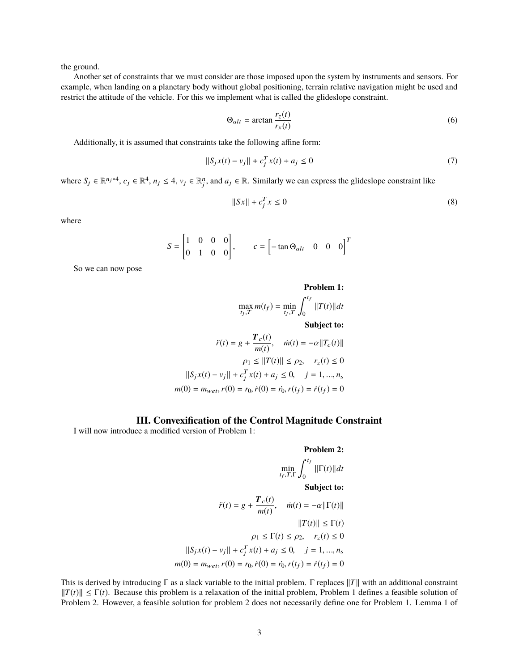the ground.

Another set of constraints that we must consider are those imposed upon the system by instruments and sensors. For example, when landing on a planetary body without global positioning, terrain relative navigation might be used and restrict the attitude of the vehicle. For this we implement what is called the glideslope constraint.

$$
\Theta_{alt} = \arctan \frac{r_z(t)}{r_x(t)}\tag{6}
$$

Additionally, it is assumed that constraints take the following affine form:

$$
||S_j x(t) - v_j|| + c_j^T x(t) + a_j \le 0
$$
\n(7)

where  $S_j \in \mathbb{R}^{n_j*4}$ ,  $c_j \in \mathbb{R}^4$ ,  $n_j \leq 4$ ,  $v_j \in \mathbb{R}_j^n$ , and  $a_j \in \mathbb{R}$ . Similarly we can express the glideslope constraint like

$$
||Sx|| + c_j^T x \le 0 \tag{8}
$$

where

$$
S = \begin{bmatrix} 1 & 0 & 0 & 0 \\ 0 & 1 & 0 & 0 \end{bmatrix}, \qquad c = \begin{bmatrix} -\tan \Theta_{alt} & 0 & 0 & 0 \end{bmatrix}^T
$$

So we can now pose

Problem 1:  
\n
$$
\max_{t_f, T} m(t_f) = \min_{t_f, T} \int_0^{t_f} ||T(t)||dt
$$
\nSubject to:  
\n
$$
\ddot{r}(t) = g + \frac{T_c(t)}{m(t)}, \quad \dot{m}(t) = -\alpha ||T_c(t)||
$$
\n
$$
\rho_1 \le ||T(t)|| \le \rho_2, \quad r_z(t) \le 0
$$
\n
$$
||S_j x(t) - v_j|| + c_j^T x(t) + a_j \le 0, \quad j = 1, ..., n_s
$$
\n
$$
m(0) = m_{wet}, r(0) = r_0, \dot{r}(0) = \dot{r}_0, r(t_f) = \dot{r}(t_f) = 0
$$

### **III. Convexification of the Control Magnitude Constraint**

I will now introduce a modified version of Problem 1:

#### **Problem 2:**

$$
\min_{t_f, T, \Gamma} \int_0^{t_f} ||\Gamma(t)|| dt
$$

**Subject to:**

$$
\ddot{r}(t) = g + \frac{T_c(t)}{m(t)}, \quad \dot{m}(t) = -\alpha ||\Gamma(t)||
$$
  

$$
||T(t)|| \le \Gamma(t)
$$
  

$$
\rho_1 \le \Gamma(t) \le \rho_2, \quad r_z(t) \le 0
$$
  

$$
||S_j x(t) - v_j|| + c_j^T x(t) + a_j \le 0, \quad j = 1, ..., n_s
$$
  

$$
m(0) = m_{wet}, r(0) = r_0, \dot{r}(0) = \dot{r}_0, r(t_f) = \dot{r}(t_f) = 0
$$

This is derived by introducing  $\Gamma$  as a slack variable to the initial problem.  $\Gamma$  replaces  $||T||$  with an additional constraint  $||T(t)|| \leq \Gamma(t)$ . Because this problem is a relaxation of the initial problem, Problem 1 defines a feasible solution of Problem 2. However, a feasible solution for problem 2 does not necessarily define one for Problem 1. Lemma 1 of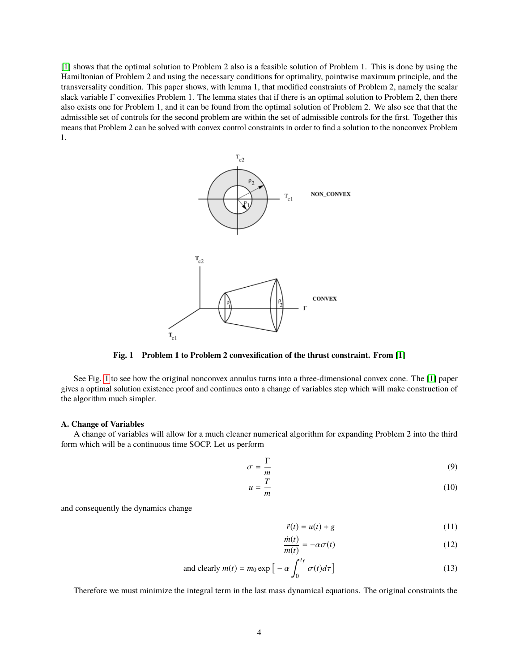<span id="page-3-0"></span>[\[1\]](#page-13-0) shows that the optimal solution to Problem 2 also is a feasible solution of Problem 1. This is done by using the Hamiltonian of Problem 2 and using the necessary conditions for optimality, pointwise maximum principle, and the transversality condition. This paper shows, with lemma 1, that modified constraints of Problem 2, namely the scalar slack variable Γ convexifies Problem 1. The lemma states that if there is an optimal solution to Problem 2, then there also exists one for Problem 1, and it can be found from the optimal solution of Problem 2. We also see that that the admissible set of controls for the second problem are within the set of admissible controls for the first. Together this means that Problem 2 can be solved with convex control constraints in order to find a solution to the nonconvex Problem 1.



**Fig. 1 Problem 1 to Problem 2 convexification of the thrust constraint. From [\[1\]](#page-13-0)**

See Fig. [1](#page-3-0) to see how the original nonconvex annulus turns into a three-dimensional convex cone. The [\[1\]](#page-13-0) paper gives a optimal solution existence proof and continues onto a change of variables step which will make construction of the algorithm much simpler.

#### **A. Change of Variables**

A change of variables will allow for a much cleaner numerical algorithm for expanding Problem 2 into the third form which will be a continuous time SOCP. Let us perform

$$
\sigma = \frac{\Gamma}{m} \tag{9}
$$

$$
u = \frac{T}{m} \tag{10}
$$

and consequently the dynamics change

$$
\ddot{r}(t) = u(t) + g \tag{11}
$$

$$
\frac{\dot{m}(t)}{m(t)} = -\alpha \sigma(t) \tag{12}
$$

and clearly 
$$
m(t) = m_0 \exp \left[ -\alpha \int_0^{t_f} \sigma(t) d\tau \right]
$$
 (13)

Therefore we must minimize the integral term in the last mass dynamical equations. The original constraints the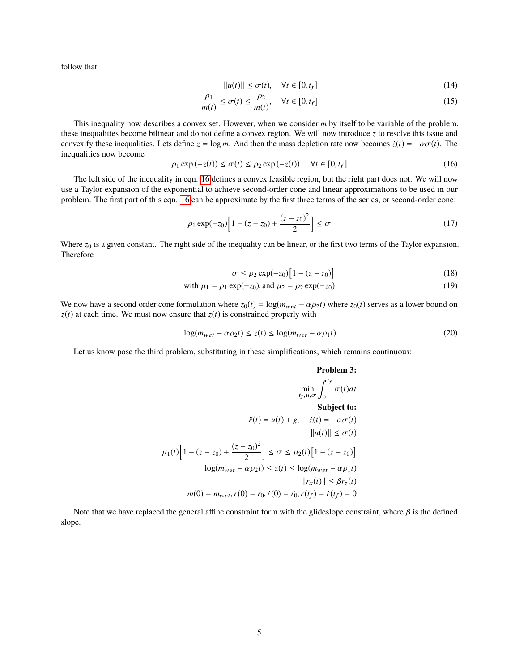follow that

$$
||u(t)|| \le \sigma(t), \quad \forall t \in [0, t_f]
$$
\n(14)

$$
\frac{\rho_1}{m(t)} \le \sigma(t) \le \frac{\rho_2}{m(t)}, \quad \forall t \in [0, t_f]
$$
\n(15)

This inequality now describes a convex set. However, when we consider *m* by itself to be variable of the problem, these inequalities become bilinear and do not define a convex region. We will now introduce *z* to resolve this issue and convexify these inequalities. Lets define  $z = \log m$ . And then the mass depletion rate now becomes  $\dot{z}(t) = -\alpha \sigma(t)$ . The inequalities now become

<span id="page-4-0"></span>
$$
\rho_1 \exp(-z(t)) \le \sigma(t) \le \rho_2 \exp(-z(t)). \quad \forall t \in [0, t_f]
$$
\n(16)

The left side of the inequality in eqn. [16](#page-4-0) defines a convex feasible region, but the right part does not. We will now use a Taylor expansion of the exponential to achieve second-order cone and linear approximations to be used in our problem. The first part of this eqn. [16](#page-4-0) can be approximate by the first three terms of the series, or second-order cone:

$$
\rho_1 \exp(-z_0) \left[ 1 - (z - z_0) + \frac{(z - z_0)^2}{2} \right] \le \sigma \tag{17}
$$

Where  $z_0$  is a given constant. The right side of the inequality can be linear, or the first two terms of the Taylor expansion. Therefore

$$
\sigma \le \rho_2 \exp(-z_0) \left[ 1 - (z - z_0) \right] \tag{18}
$$

with 
$$
\mu_1 = \rho_1 \exp(-z_0)
$$
, and  $\mu_2 = \rho_2 \exp(-z_0)$  (19)

We now have a second order cone formulation where  $z_0(t) = \log(m_{wet} - \alpha \rho_2 t)$  where  $z_0(t)$  serves as a lower bound on  $z(t)$  at each time. We must now ensure that  $z(t)$  is constrained properly with

$$
\log(m_{wet} - \alpha \rho_2 t) \le z(t) \le \log(m_{wet} - \alpha \rho_1 t)
$$
\n(20)

Let us know pose the third problem, substituting in these simplifications, which remains continuous:

#### **Problem 3:**

$$
\min_{t_f, u, \sigma} \int_0^{t_f} \sigma(t)dt
$$
  
\nSubject to:  
\n
$$
\ddot{r}(t) = u(t) + g, \quad \dot{z}(t) = -\alpha \sigma(t)
$$
  
\n
$$
||u(t)|| \le \sigma(t)
$$
  
\n
$$
\mu_1(t) \Big[ 1 - (z - z_0) + \frac{(z - z_0)^2}{2} \Big] \le \sigma \le \mu_2(t) \Big[ 1 - (z - z_0) \Big]
$$
  
\n
$$
\log(m_{wet} - \alpha \rho_2 t) \le z(t) \le \log(m_{wet} - \alpha \rho_1 t)
$$
  
\n
$$
||r_x(t)|| \le \beta r_z(t)
$$
  
\n
$$
m(0) = m_{wet}, r(0) = r_0, \dot{r}(0) = \dot{r}_0, r(t_f) = \dot{r}(t_f) = 0
$$

Note that we have replaced the general affine constraint form with the glideslope constraint, where  $\beta$  is the defined slope.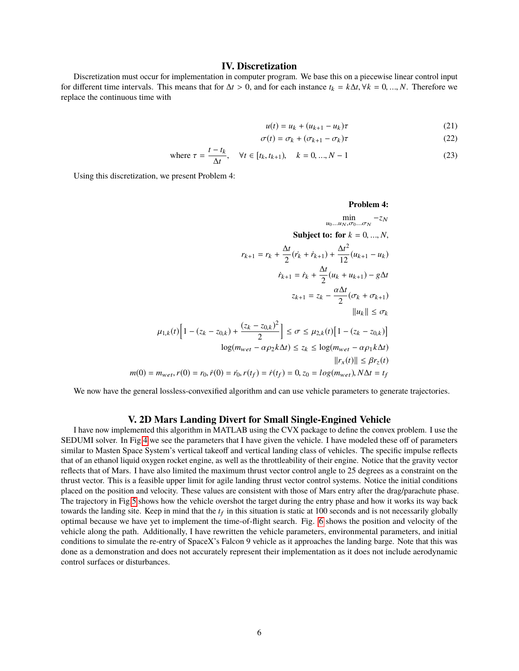## **IV. Discretization**

Discretization must occur for implementation in computer program. We base this on a piecewise linear control input for different time intervals. This means that for  $\Delta t > 0$ , and for each instance  $t_k = k\Delta t$ ,  $\forall k = 0, ..., N$ . Therefore we replace the continuous time with

$$
u(t) = u_k + (u_{k+1} - u_k)\tau
$$
 (21)

$$
\sigma(t) = \sigma_k + (\sigma_{k+1} - \sigma_k)\tau
$$
\n(22)

where 
$$
\tau = \frac{t - t_k}{\Delta t}
$$
,  $\forall t \in [t_k, t_{k+1}), \quad k = 0, ..., N-1$  (23)

Using this discretization, we present Problem 4:

Problem 4:  
\n
$$
\min_{u_0...u_N, \sigma_0... \sigma_N} - z_N
$$
\nSubject to: for  $k = 0, ..., N$ ,  
\n
$$
r_{k+1} = r_k + \frac{\Delta t}{2} (r_k + r_{k+1}) + \frac{\Delta t^2}{12} (u_{k+1} - u_k)
$$
\n
$$
\dot{r}_{k+1} = \dot{r}_k + \frac{\Delta t}{2} (u_k + u_{k+1}) - g \Delta t
$$
\n
$$
z_{k+1} = z_k - \frac{\alpha \Delta t}{2} (\sigma_k + \sigma_{k+1})
$$
\n
$$
||u_k|| \le \sigma_k
$$
\n
$$
\mu_{1,k}(t) \Big[ 1 - (z_k - z_{0,k}) + \frac{(z_k - z_{0,k})^2}{2} \Big] \le \sigma \le \mu_{2,k}(t) \Big[ 1 - (z_k - z_{0,k}) \Big]
$$
\n
$$
\log(m_{wet} - \alpha \rho_2 k \Delta t) \le z_k \le \log(m_{wet} - \alpha \rho_1 k \Delta t)
$$
\n
$$
||r_x(t)|| \le \beta r_z(t)
$$
\n
$$
m(0) = m_{wet}, r(0) = r_0, \dot{r}(0) = \dot{r}_0, r(t_f) = \dot{r}(t_f) = 0, z_0 = \log(m_{wet}), N \Delta t = t_f
$$

We now have the general lossless-convexified algorithm and can use vehicle parameters to generate trajectories.

### **V. 2D Mars Landing Divert for Small Single-Engined Vehicle**

I have now implemented this algorithm in MATLAB using the CVX package to define the convex problem. I use the SEDUMI solver. In Fig[.4](#page-8-0) we see the parameters that I have given the vehicle. I have modeled these off of parameters similar to Masten Space System's vertical takeoff and vertical landing class of vehicles. The specific impulse reflects that of an ethanol liquid oxygen rocket engine, as well as the throttleability of their engine. Notice that the gravity vector reflects that of Mars. I have also limited the maximum thrust vector control angle to 25 degrees as a constraint on the thrust vector. This is a feasible upper limit for agile landing thrust vector control systems. Notice the initial conditions placed on the position and velocity. These values are consistent with those of Mars entry after the drag/parachute phase. The trajectory in Fig[.5](#page-9-0) shows how the vehicle overshot the target during the entry phase and how it works its way back towards the landing site. Keep in mind that the  $t_f$  in this situation is static at  $100$  seconds and is not necessarily globally optimal because we have yet to implement the time-of-flight search. Fig. [6](#page-9-1) shows the position and velocity of the vehicle along the path. Additionally, I have rewritten the vehicle parameters, environmental parameters, and initial conditions to simulate the re-entry of SpaceX's Falcon 9 vehicle as it approaches the landing barge. Note that this was done as a demonstration and does not accurately represent their implementation as it does not include aerodynamic control surfaces or disturbances.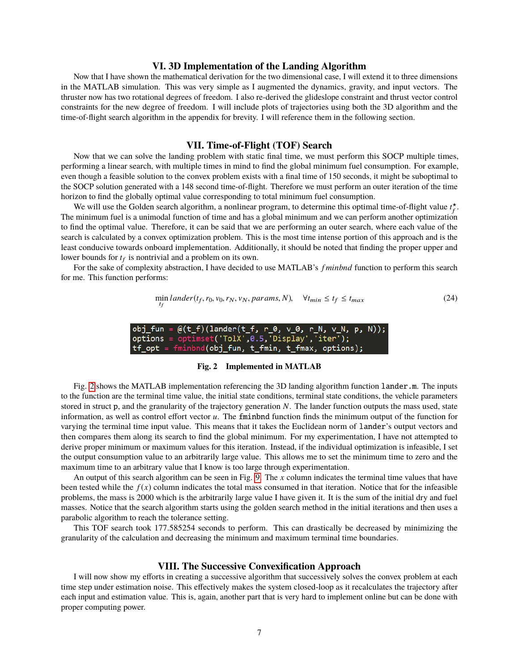#### **VI. 3D Implementation of the Landing Algorithm**

Now that I have shown the mathematical derivation for the two dimensional case, I will extend it to three dimensions in the MATLAB simulation. This was very simple as I augmented the dynamics, gravity, and input vectors. The thruster now has two rotational degrees of freedom. I also re-derived the glideslope constraint and thrust vector control constraints for the new degree of freedom. I will include plots of trajectories using both the 3D algorithm and the time-of-flight search algorithm in the appendix for brevity. I will reference them in the following section.

#### **VII. Time-of-Flight (TOF) Search**

Now that we can solve the landing problem with static final time, we must perform this SOCP multiple times, performing a linear search, with multiple times in mind to find the global minimum fuel consumption. For example, even though a feasible solution to the convex problem exists with a final time of 150 seconds, it might be suboptimal to the SOCP solution generated with a 148 second time-of-flight. Therefore we must perform an outer iteration of the time horizon to find the globally optimal value corresponding to total minimum fuel consumption.

We will use the Golden search algorithm, a nonlinear program, to determine this optimal time-of-flight value  $t_f^{\star}$ . The minimum fuel is a unimodal function of time and has a global minimum and we can perform another optimization to find the optimal value. Therefore, it can be said that we are performing an outer search, where each value of the search is calculated by a convex optimization problem. This is the most time intense portion of this approach and is the least conducive towards onboard implementation. Additionally, it should be noted that finding the proper upper and lower bounds for  $t_f$  is nontrivial and a problem on its own.

<span id="page-6-0"></span>For the sake of complexity abstraction, I have decided to use MATLAB's *f minbnd* function to perform this search for me. This function performs:

$$
\min_{t_f} \text{lander}(t_f, r_0, v_0, r_N, v_N, \text{params}, N), \quad \forall t_{min} \le t_f \le t_{max} \tag{24}
$$

 $fun =$  $\omega(t_f)(1$ ander(t\_f, r\_0, v\_0, r\_N, v\_N, options = optimset('TolX',0.5,'Display','iter'); \_opt = fminbnd(obj\_fun, t\_fmin, t\_fmax, options);

#### **Fig. 2 Implemented in MATLAB**

Fig. [2](#page-6-0) shows the MATLAB implementation referencing the 3D landing algorithm function lander.m. The inputs to the function are the terminal time value, the initial state conditions, terminal state conditions, the vehicle parameters stored in struct p, and the granularity of the trajectory generation *N*. The lander function outputs the mass used, state information, as well as control effort vector  $u$ . The fminbnd function finds the minimum output of the function for varying the terminal time input value. This means that it takes the Euclidean norm of lander's output vectors and then compares them along its search to find the global minimum. For my experimentation, I have not attempted to derive proper minimum or maximum values for this iteration. Instead, if the individual optimization is infeasible, I set the output consumption value to an arbitrarily large value. This allows me to set the minimum time to zero and the maximum time to an arbitrary value that I know is too large through experimentation.

An output of this search algorithm can be seen in Fig. [9.](#page-11-0) The *x* column indicates the terminal time values that have been tested while the  $f(x)$  column indicates the total mass consumed in that iteration. Notice that for the infeasible problems, the mass is 2000 which is the arbitrarily large value I have given it. It is the sum of the initial dry and fuel masses. Notice that the search algorithm starts using the golden search method in the initial iterations and then uses a parabolic algorithm to reach the tolerance setting.

This TOF search took 177.585254 seconds to perform. This can drastically be decreased by minimizing the granularity of the calculation and decreasing the minimum and maximum terminal time boundaries.

#### **VIII. The Successive Convexification Approach**

I will now show my efforts in creating a successive algorithm that successively solves the convex problem at each time step under estimation noise. This effectively makes the system closed-loop as it recalculates the trajectory after each input and estimation value. This is, again, another part that is very hard to implement online but can be done with proper computing power.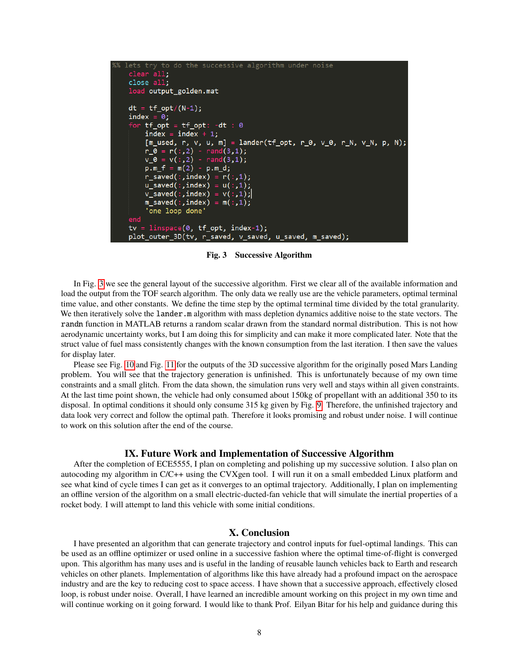```
to do the successive algorithm under noise
clear all;
close all;
load output_golden.mat
dt = tf\_opt/(N-1);index = 0;tf{\text{-}opt = tf{\text{-}opt: -dt : 0}}<br>index = index + 1;
    [m\_used, r, v, u, m] = lander(tf\_opt, r_0, v_0, r_N, v_N, p, N);r_0= r(:,2) - rand(3,1);v(: ,2) -
                     rand(3,1);v_0= m(2) -p.m_fp.m_d;r_saved(:,index) = r(:,1);u\_saved(:,index) = u(:,1);v saved(:,index) = v(:,1);
    \overline{\mathsf{m}} saved(:,index) = \mathsf{m}(\cdot,1);
     one loop done
end
tv =linspace(0, tf_opt, index-1);
plot_outer_3D(tv, r_saved, v_saved, u_saved, m_saved);
```
**Fig. 3 Successive Algorithm**

In Fig. [3](#page-7-0) we see the general layout of the successive algorithm. First we clear all of the available information and load the output from the TOF search algorithm. The only data we really use are the vehicle parameters, optimal terminal time value, and other constants. We define the time step by the optimal terminal time divided by the total granularity. We then iteratively solve the lander.m algorithm with mass depletion dynamics additive noise to the state vectors. The randn function in MATLAB returns a random scalar drawn from the standard normal distribution. This is not how aerodynamic uncertainty works, but I am doing this for simplicity and can make it more complicated later. Note that the struct value of fuel mass consistently changes with the known consumption from the last iteration. I then save the values for display later.

Please see Fig. [10](#page-11-1) and Fig. [11](#page-12-0) for the outputs of the 3D successive algorithm for the originally posed Mars Landing problem. You will see that the trajectory generation is unfinished. This is unfortunately because of my own time constraints and a small glitch. From the data shown, the simulation runs very well and stays within all given constraints. At the last time point shown, the vehicle had only consumed about 150kg of propellant with an additional 350 to its disposal. In optimal conditions it should only consume 315 kg given by Fig. [9.](#page-11-0) Therefore, the unfinished trajectory and data look very correct and follow the optimal path. Therefore it looks promising and robust under noise. I will continue to work on this solution after the end of the course.

#### **IX. Future Work and Implementation of Successive Algorithm**

After the completion of ECE5555, I plan on completing and polishing up my successive solution. I also plan on autocoding my algorithm in C/C++ using the CVXgen tool. I will run it on a small embedded Linux platform and see what kind of cycle times I can get as it converges to an optimal trajectory. Additionally, I plan on implementing an offline version of the algorithm on a small electric-ducted-fan vehicle that will simulate the inertial properties of a rocket body. I will attempt to land this vehicle with some initial conditions.

# **X. Conclusion**

I have presented an algorithm that can generate trajectory and control inputs for fuel-optimal landings. This can be used as an offline optimizer or used online in a successive fashion where the optimal time-of-flight is converged upon. This algorithm has many uses and is useful in the landing of reusable launch vehicles back to Earth and research vehicles on other planets. Implementation of algorithms like this have already had a profound impact on the aerospace industry and are the key to reducing cost to space access. I have shown that a successive approach, effectively closed loop, is robust under noise. Overall, I have learned an incredible amount working on this project in my own time and will continue working on it going forward. I would like to thank Prof. Eilyan Bitar for his help and guidance during this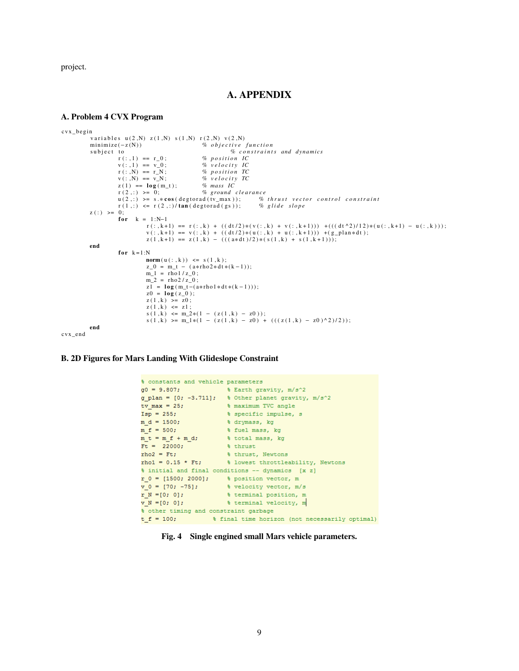project.

# **A. APPENDIX**

#### **A. Problem 4 CVX Program**

```
c v x _ b e gi n
            variables u(2,N) z(1,N) s(1,N) r(2,N) v(2,N)<br>minimize(-z(N)) % objective
            minimize(−z(N)) % objective function<br>subject to % constraint
                        to \% constraints and dynamics r(:,1) == r_0; \% position IC
                                                          r ( : , 1 ) == r _ 0 ; % p o s i t i o n IC
                        v(:,1) == v_0;<br>
r(:,N) == r_N;r : N = r = N;<br>
v : N = v = N;<br>
v * i \circ v = v - N;
                                                         \% velocity TC<br>% mass IC
                        z(1) == log(m_t);<br>
r(2,:) >= 0;% ground clearance<br>cad(tv_max)); % thrust vector control constraint
                        u(2,:) \geq s.* \cos(\text{degtroad}(tv\_max)); % thrust vector r(1,:) \leq r(2,:) tan(degtorad(gs)); % glide slope
                        r(1,:) \le r(2,:) / \tan(\text{degtroad}(gs));z ( : ) >= 0;
                         k = 1:N-1
                                    r(:,k+1) == r(:,k) + ((dt/2)*(v(:,k) + v(:,k+1))) +(((dt^2)/12)*(u(:,k+1) - u(:,k)));<br>v(:,k+1) == v(:,k) + ((dt/2)*(u(:,k) + u(:,k+1))) +(g_plan*dt);
                                   z(1, k+1) = z(1, k) - (((a * d t)/2) * (s(1, k) + s(1, k+1)));
           end
                        for k = 1:Nnorm (u(:,k)) \leq s(1,k);z_0 = m_t - (a *rho2 * dt * (k-1));m_1 = r \ln(1/z_0);
                                   m_2 = rho2/z_0;
                                   \overline{z1} = log (m t−( a* rho 1 * dt *(k −1)));
                                   z0 = \log(z_0);
                                   z(1, k) \ge z0;z(1, k) \leq z1;
                                     s(1, k) \le m_2*(1 - (z(1, k) - z0));<br>
s(1, k) \ge m_1*(1 - (z(1, k) - z0) + ((z(1, k) - z0)^2)/2));end
c v x e n d
```
#### <span id="page-8-0"></span>**B. 2D Figures for Mars Landing With Glideslope Constraint**

```
% constants and vehicle parameters
g0 = 9.807;% Earth gravity, m/s^2
g_plan = [0, -3.711]; \total \text{\bmat}{\bmat} \text{\bmat}$ \text{\bmat}$ \text{\bmat}$ \text{\bmat}$ \text{\bmat}$ \text{\bmat}$ \text{\bmat}$ \text{\bmat}$ \text{\bmat}$ \text{\bmat}$ \text{\bmat}$ \text{\bmat}$ \te
                           % specific impulse, s
Isp = 255;m_d = 1500;% drymass, kg
m f = 500;% fuel mass, kg
                           % total mass, kg
m_t = m_f + m_d;\frac{1}{2} thrust
Ft = 22000;
rho2 = Ft;% thrust, Newtons
rho1 = 0.15 * Ft;% lowest throttleability, Newtons
% initial and final conditions -- dynamics [x z]
r_0 = [1500; 2000]; % position vector, m
v_0 = [70; -75];% velocity vector, m/s
r N = [0; 0];% terminal position, m
                           % terminal velocity, m
V_N = [0; 0];% other timing and constraint garbage
t_f = 100; <br> \frac{1}{3} final time horizon (not necessarily optimal)
```
**Fig. 4 Single engined small Mars vehicle parameters.**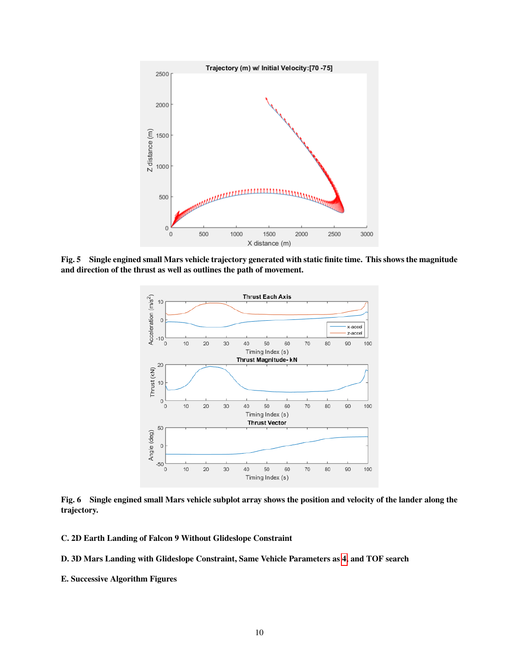<span id="page-9-0"></span>

<span id="page-9-1"></span>**Fig. 5 Single engined small Mars vehicle trajectory generated with static finite time. This shows the magnitude and direction of the thrust as well as outlines the path of movement.**



**Fig. 6 Single engined small Mars vehicle subplot array shows the position and velocity of the lander along the trajectory.**

**C. 2D Earth Landing of Falcon 9 Without Glideslope Constraint**

```
D. 3D Mars Landing with Glideslope Constraint, Same Vehicle Parameters as 4, and TOF search
```
**E. Successive Algorithm Figures**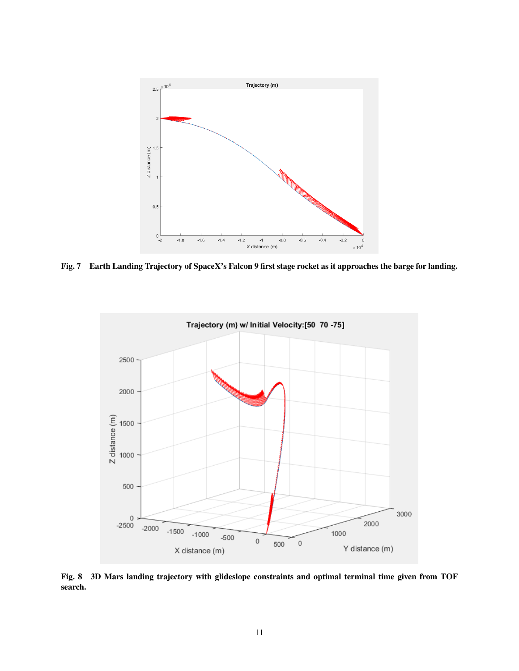

**Fig. 7 Earth Landing Trajectory of SpaceX's Falcon 9 first stage rocket as it approaches the barge for landing.**



**Fig. 8 3D Mars landing trajectory with glideslope constraints and optimal terminal time given from TOF search.**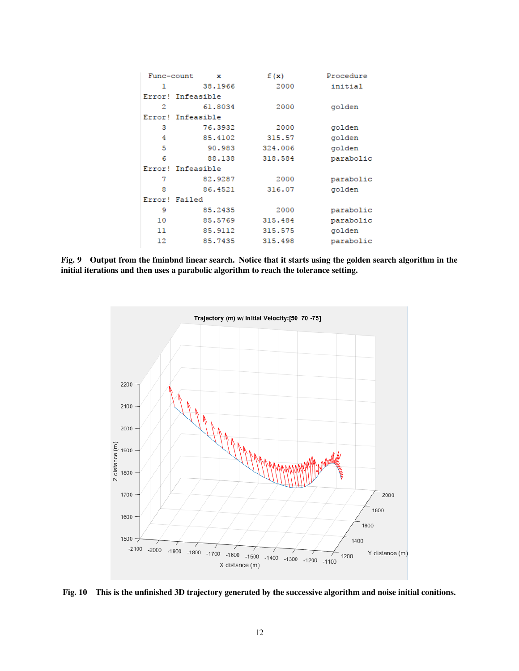<span id="page-11-0"></span>

| Func-count | x                 | f(x)    | Procedure |
|------------|-------------------|---------|-----------|
| 1          | 38,1966           | 2000    | initial   |
|            | Error! Infeasible |         |           |
| 2          | 61,8034           | 2000    | golden    |
|            | Error! Infeasible |         |           |
| з          | 76.3932           | 2000    | golden    |
| 4          | 85.4102           | 315.57  | golden    |
| 5          | 90.983            | 324,006 | golden    |
| 6          | 88,138            | 318.584 | parabolic |
|            | Error! Infeasible |         |           |
| 7          | 82.9287           | 2000    | parabolic |
| 8          | 86.4521           | 316.07  | golden    |
| Error!     | Failed            |         |           |
| 9          | 85.2435           | 2000    | parabolic |
| 10         | 85.5769           | 315.484 | parabolic |
| 11         | 85.9112           | 315.575 | golden    |
| 12         | 85.7435           | 315.498 | parabolic |

**Fig. 9 Output from the fminbnd linear search. Notice that it starts using the golden search algorithm in the initial iterations and then uses a parabolic algorithm to reach the tolerance setting.**

<span id="page-11-1"></span>

**Fig. 10 This is the unfinished 3D trajectory generated by the successive algorithm and noise initial conitions.**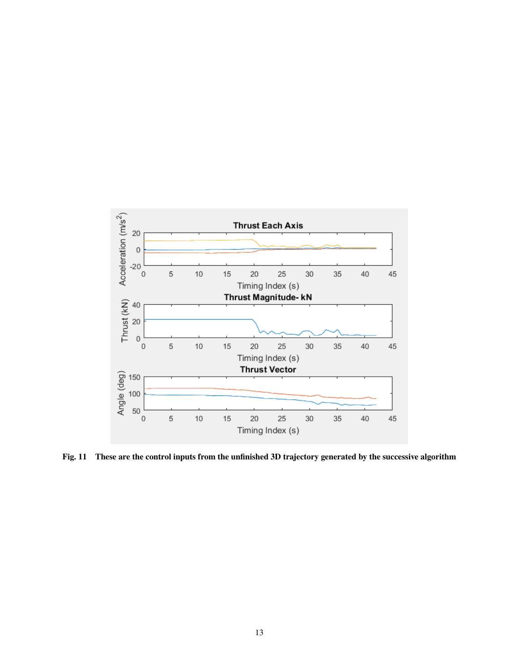<span id="page-12-0"></span>

**Fig. 11 These are the control inputs from the unfinished 3D trajectory generated by the successive algorithm**